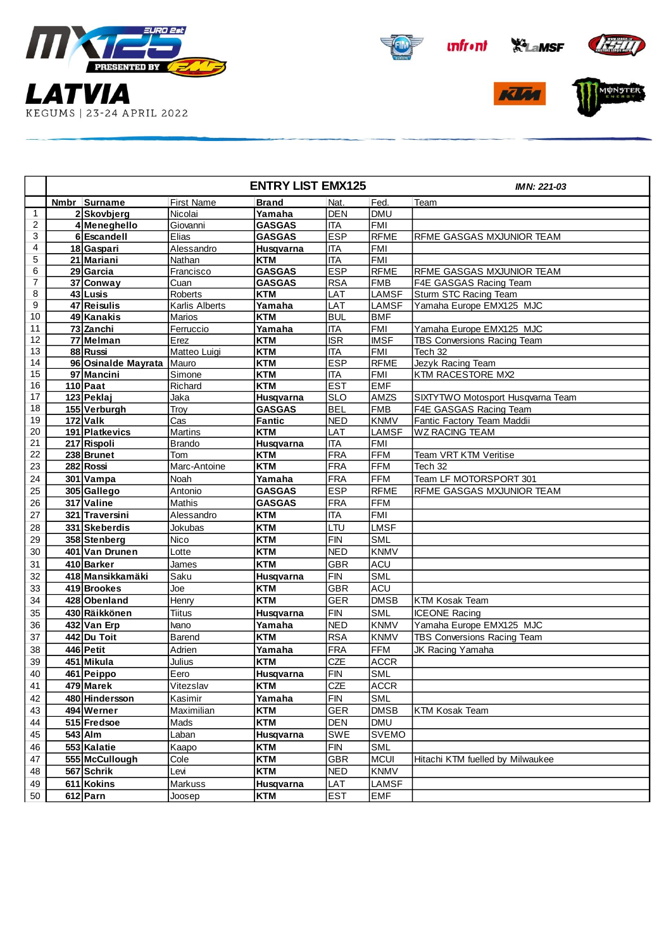











|                |                     | <b>ENTRY LIST EMX125</b> | <b>IMN: 221-03</b> |                         |              |                                   |
|----------------|---------------------|--------------------------|--------------------|-------------------------|--------------|-----------------------------------|
|                | Nmbr Surname        | First Name               | <b>Brand</b>       | Nat.                    | Fed.         | Team                              |
| $\mathbf{1}$   | 2Skovbjerg          | Nicolai                  | Yamaha             | <b>DEN</b>              | <b>DMU</b>   |                                   |
| $\overline{c}$ | 4 Meneghello        | Giovanni                 | <b>GASGAS</b>      | <b>ITA</b>              | <b>FMI</b>   |                                   |
| 3              | 6 Escandell         | Elias                    | <b>GASGAS</b>      | <b>ESP</b>              | <b>RFME</b>  | RFME GASGAS MXJUNIOR TEAM         |
| 4              | 18 Gaspari          | Alessandro               | Husqvarna          | <b>ITA</b>              | <b>FMI</b>   |                                   |
| 5              | 21 Mariani          | Nathan                   | <b>KTM</b>         | <b>ITA</b>              | <b>FMI</b>   |                                   |
| 6              | 29 Garcia           | Francisco                | <b>GASGAS</b>      | <b>ESP</b>              | <b>RFME</b>  | RFME GASGAS MXJUNIOR TEAM         |
| 7              | 37 Conway           | Cuan                     | <b>GASGAS</b>      | <b>RSA</b>              | <b>FMB</b>   | F4E GASGAS Racing Team            |
| 8              | 43 Lusis            | Roberts                  | <b>KTM</b>         | LAT                     | <b>LAMSF</b> | Sturm STC Racing Team             |
| 9              | 47 Reisulis         | Karlis Alberts           | Yamaha             | LAT                     | <b>LAMSF</b> | Yamaha Europe EMX125 MJC          |
| 10             | 49 Kanakis          | Marios                   | <b>KTM</b>         | <b>BUL</b>              | <b>BMF</b>   |                                   |
| 11             | 73 Zanchi           | Ferruccio                | Yamaha             | <b>ITA</b>              | <b>FMI</b>   | Yamaha Europe EMX125 MJC          |
| 12             | 77 Melman           | Erez                     | <b>KTM</b>         | $\overline{\text{ISR}}$ | <b>IMSF</b>  | TBS Conversions Racing Team       |
| 13             | 88 Russi            | Matteo Luigi             | <b>KTM</b>         | <b>ITA</b>              | <b>FMI</b>   | Tech 32                           |
| 14             | 96 Osinalde Mayrata | Mauro                    | <b>KTM</b>         | <b>ESP</b>              | <b>RFME</b>  | Jezyk Racing Team                 |
| 15             | 97 Mancini          | Simone                   | <b>KTM</b>         | <b>ITA</b>              | <b>FMI</b>   | KTM RACESTORE MX2                 |
| 16             | $110$ Paat          | Richard                  | <b>KTM</b>         | <b>EST</b>              | <b>EMF</b>   |                                   |
| 17             | 123 Peklaj          | Jaka                     | Husqvarna          | <b>SLO</b>              | AMZS         | SIXTYTWO Motosport Husqvarna Team |
| 18             | 155 Verburgh        | Troy                     | <b>GASGAS</b>      | <b>BEL</b>              | <b>FMB</b>   | F4E GASGAS Racing Team            |
| 19             | $172$ Valk          | Cas                      | <b>Fantic</b>      | <b>NED</b>              | <b>KNMV</b>  | Fantic Factory Team Maddii        |
| 20             | 191 Platkevics      | <b>Martins</b>           | <b>KTM</b>         | LAT                     | <b>LAMSF</b> | <b>WZ RACING TEAM</b>             |
| 21             | 217 Rispoli         | <b>Brando</b>            | Husqvarna          | <b>ITA</b>              | <b>FMI</b>   |                                   |
| 22             | 238 Brunet          | Tom                      | <b>KTM</b>         | <b>FRA</b>              | <b>FFM</b>   | Team VRT KTM Veritise             |
| 23             | 282 Rossi           | Marc-Antoine             | <b>KTM</b>         | <b>FRA</b>              | <b>FFM</b>   | Tech 32                           |
| 24             | 301 Vampa           | Noah                     | Yamaha             | <b>FRA</b>              | <b>FFM</b>   | Team LF MOTORSPORT 301            |
| 25             | 305 Gallego         | Antonio                  | <b>GASGAS</b>      | <b>ESP</b>              | <b>RFME</b>  | RFME GASGAS MXJUNIOR TEAM         |
| 26             | 317 Valine          | Mathis                   | <b>GASGAS</b>      | <b>FRA</b>              | <b>FFM</b>   |                                   |
| 27             | 321 Traversini      | Alessandro               | <b>KTM</b>         | <b>ITA</b>              | <b>FMI</b>   |                                   |
| 28             | 331 Skeberdis       | Jokubas                  | <b>KTM</b>         | LTU                     | <b>LMSF</b>  |                                   |
| 29             | 358 Stenberg        | Nico                     | <b>KTM</b>         | <b>FIN</b>              | <b>SML</b>   |                                   |
| 30             | 401 Van Drunen      | Lotte                    | <b>KTM</b>         | <b>NED</b>              | <b>KNMV</b>  |                                   |
| 31             | 410 Barker          | James                    | <b>KTM</b>         | <b>GBR</b>              | <b>ACU</b>   |                                   |
| 32             | 418 Mansikkamäki    | Saku                     | Husqvarna          | <b>FIN</b>              | <b>SML</b>   |                                   |
| 33             | 419 Brookes         | Joe                      | <b>KTM</b>         | <b>GBR</b>              | <b>ACU</b>   |                                   |
| 34             | 428 Obenland        | Henry                    | <b>KTM</b>         | <b>GER</b>              | <b>DMSB</b>  | <b>KTM Kosak Team</b>             |
| 35             | 430 Räikkönen       | <b>Tiitus</b>            | Husqvarna          | <b>FIN</b>              | <b>SML</b>   | <b>ICEONE Racing</b>              |
| 36             | 432 Van Erp         | Ivano                    | Yamaha             | <b>NED</b>              | <b>KNMV</b>  | Yamaha Europe EMX125 MJC          |
| 37             | 442 Du Toit         | <b>Barend</b>            | <b>KTM</b>         | <b>RSA</b>              | <b>KNMV</b>  | TBS Conversions Racing Team       |
| 38             | 446 Petit           | Adrien                   | Yamaha             | <b>FRA</b>              | <b>FFM</b>   | JK Racing Yamaha                  |
| 39             | 451 Mikula          | Julius                   | <b>KTM</b>         | CZE                     | <b>ACCR</b>  |                                   |
| 40             | 461 Peippo          | Eero                     | Husqvarna          | <b>FIN</b>              | <b>SML</b>   |                                   |
| 41             | 479 Marek           | Vitezslav                | KTM                | CZE                     | <b>ACCR</b>  |                                   |
| 42             | 480 Hindersson      | Kasimir                  | Yamaha             | ${\sf FIN}$             | <b>SML</b>   |                                   |
| 43             | 494 Werner          | Maximilian               | KTM                | GER                     | <b>DMSB</b>  | KTM Kosak Team                    |
| 44             | 515 Fredsoe         | Mads                     | <b>KTM</b>         | DEN                     | <b>DMU</b>   |                                   |
| 45             | $543$ Alm           | Laban                    | Husqvarna          | SWE                     | <b>SVEMO</b> |                                   |
| 46             | 553 Kalatie         | Kaapo                    | KTM                | <b>FIN</b>              | <b>SML</b>   |                                   |
| 47             | 555 McCullough      | Cole                     | <b>KTM</b>         | <b>GBR</b>              | <b>MCUI</b>  | Hitachi KTM fuelled by Milwaukee  |
|                |                     |                          |                    |                         |              |                                   |
| 48             | 567 Schrik          | Levi                     | <b>KTM</b>         | <b>NED</b>              | <b>KNMV</b>  |                                   |
| 49             | 611 Kokins          | Markuss                  | Husqvarna          | LAT                     | <b>LAMSF</b> |                                   |
| 50             | $612$ Parn          | Joosep                   | <b>KTM</b>         | <b>EST</b>              | <b>EMF</b>   |                                   |